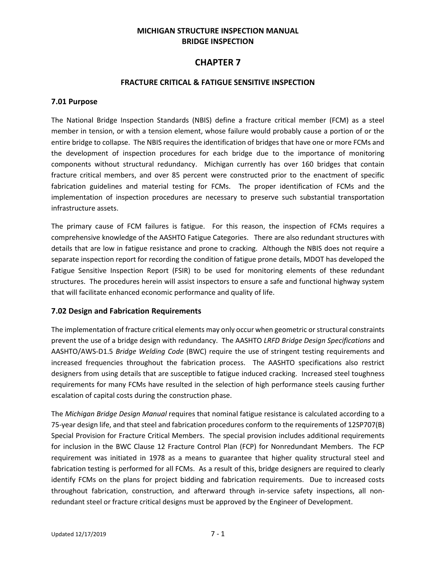### **MICHIGAN STRUCTURE INSPECTION MANUAL BRIDGE INSPECTION**

# **CHAPTER 7**

#### **FRACTURE CRITICAL & FATIGUE SENSITIVE INSPECTION**

#### **7.01 Purpose**

The National Bridge Inspection Standards (NBIS) define a fracture critical member (FCM) as a steel member in tension, or with a tension element, whose failure would probably cause a portion of or the entire bridge to collapse. The NBIS requires the identification of bridges that have one or more FCMs and the development of inspection procedures for each bridge due to the importance of monitoring components without structural redundancy. Michigan currently has over 160 bridges that contain fracture critical members, and over 85 percent were constructed prior to the enactment of specific fabrication guidelines and material testing for FCMs. The proper identification of FCMs and the implementation of inspection procedures are necessary to preserve such substantial transportation infrastructure assets.

The primary cause of FCM failures is fatigue. For this reason, the inspection of FCMs requires a comprehensive knowledge of the AASHTO Fatigue Categories. There are also redundant structures with details that are low in fatigue resistance and prone to cracking. Although the NBIS does not require a separate inspection report for recording the condition of fatigue prone details, MDOT has developed the Fatigue Sensitive Inspection Report (FSIR) to be used for monitoring elements of these redundant structures. The procedures herein will assist inspectors to ensure a safe and functional highway system that will facilitate enhanced economic performance and quality of life.

#### **7.02 Design and Fabrication Requirements**

The implementation of fracture critical elements may only occur when geometric or structural constraints prevent the use of a bridge design with redundancy. The AASHTO *LRFD Bridge Design Specifications* and AASHTO/AWS-D1.5 *Bridge Welding Code* (BWC) require the use of stringent testing requirements and increased frequencies throughout the fabrication process. The AASHTO specifications also restrict designers from using details that are susceptible to fatigue induced cracking. Increased steel toughness requirements for many FCMs have resulted in the selection of high performance steels causing further escalation of capital costs during the construction phase.

The *Michigan Bridge Design Manual* requires that nominal fatigue resistance is calculated according to a 75-year design life, and that steel and fabrication procedures conform to the requirements of 12SP707(B) Special Provision for Fracture Critical Members. The special provision includes additional requirements for inclusion in the BWC Clause 12 Fracture Control Plan (FCP) for Nonredundant Members. The FCP requirement was initiated in 1978 as a means to guarantee that higher quality structural steel and fabrication testing is performed for all FCMs. As a result of this, bridge designers are required to clearly identify FCMs on the plans for project bidding and fabrication requirements. Due to increased costs throughout fabrication, construction, and afterward through in-service safety inspections, all nonredundant steel or fracture critical designs must be approved by the Engineer of Development.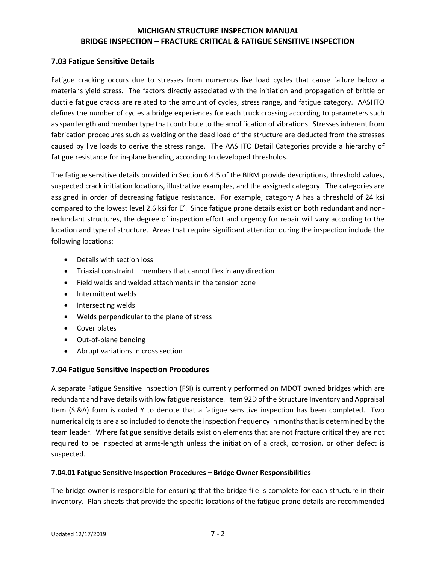#### **7.03 Fatigue Sensitive Details**

Fatigue cracking occurs due to stresses from numerous live load cycles that cause failure below a material's yield stress. The factors directly associated with the initiation and propagation of brittle or ductile fatigue cracks are related to the amount of cycles, stress range, and fatigue category. AASHTO defines the number of cycles a bridge experiences for each truck crossing according to parameters such as span length and member type that contribute to the amplification of vibrations. Stresses inherent from fabrication procedures such as welding or the dead load of the structure are deducted from the stresses caused by live loads to derive the stress range. The AASHTO Detail Categories provide a hierarchy of fatigue resistance for in-plane bending according to developed thresholds.

The fatigue sensitive details provided in Section 6.4.5 of the BIRM provide descriptions, threshold values, suspected crack initiation locations, illustrative examples, and the assigned category. The categories are assigned in order of decreasing fatigue resistance. For example, category A has a threshold of 24 ksi compared to the lowest level 2.6 ksi for E'. Since fatigue prone details exist on both redundant and nonredundant structures, the degree of inspection effort and urgency for repair will vary according to the location and type of structure. Areas that require significant attention during the inspection include the following locations:

- Details with section loss
- Triaxial constraint members that cannot flex in any direction
- Field welds and welded attachments in the tension zone
- Intermittent welds
- Intersecting welds
- Welds perpendicular to the plane of stress
- Cover plates
- Out-of-plane bending
- Abrupt variations in cross section

#### **7.04 Fatigue Sensitive Inspection Procedures**

A separate Fatigue Sensitive Inspection (FSI) is currently performed on MDOT owned bridges which are redundant and have details with low fatigue resistance. Item 92D of the Structure Inventory and Appraisal Item (SI&A) form is coded Y to denote that a fatigue sensitive inspection has been completed. Two numerical digits are also included to denote the inspection frequency in months that is determined by the team leader. Where fatigue sensitive details exist on elements that are not fracture critical they are not required to be inspected at arms-length unless the initiation of a crack, corrosion, or other defect is suspected.

#### **7.04.01 Fatigue Sensitive Inspection Procedures – Bridge Owner Responsibilities**

The bridge owner is responsible for ensuring that the bridge file is complete for each structure in their inventory. Plan sheets that provide the specific locations of the fatigue prone details are recommended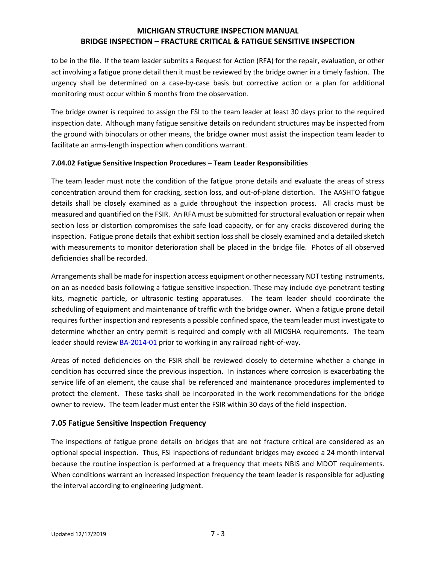to be in the file. If the team leader submits a Request for Action (RFA) for the repair, evaluation, or other act involving a fatigue prone detail then it must be reviewed by the bridge owner in a timely fashion. The urgency shall be determined on a case-by-case basis but corrective action or a plan for additional monitoring must occur within 6 months from the observation.

The bridge owner is required to assign the FSI to the team leader at least 30 days prior to the required inspection date. Although many fatigue sensitive details on redundant structures may be inspected from the ground with binoculars or other means, the bridge owner must assist the inspection team leader to facilitate an arms-length inspection when conditions warrant.

#### **7.04.02 Fatigue Sensitive Inspection Procedures – Team Leader Responsibilities**

The team leader must note the condition of the fatigue prone details and evaluate the areas of stress concentration around them for cracking, section loss, and out-of-plane distortion. The AASHTO fatigue details shall be closely examined as a guide throughout the inspection process. All cracks must be measured and quantified on the FSIR. An RFA must be submitted for structural evaluation or repair when section loss or distortion compromises the safe load capacity, or for any cracks discovered during the inspection. Fatigue prone details that exhibit section loss shall be closely examined and a detailed sketch with measurements to monitor deterioration shall be placed in the bridge file. Photos of all observed deficiencies shall be recorded.

Arrangements shall be made for inspection access equipment or other necessary NDT testing instruments, on an as-needed basis following a fatigue sensitive inspection. These may include dye-penetrant testing kits, magnetic particle, or ultrasonic testing apparatuses. The team leader should coordinate the scheduling of equipment and maintenance of traffic with the bridge owner. When a fatigue prone detail requires further inspection and represents a possible confined space, the team leader must investigate to determine whether an entry permit is required and comply with all MIOSHA requirements. The team leader should review [BA-2014-01](http://www.michigan.gov/documents/mdot/BA_2014-01_RR_Inspection_449002_7.pdf) prior to working in any railroad right-of-way.

Areas of noted deficiencies on the FSIR shall be reviewed closely to determine whether a change in condition has occurred since the previous inspection. In instances where corrosion is exacerbating the service life of an element, the cause shall be referenced and maintenance procedures implemented to protect the element. These tasks shall be incorporated in the work recommendations for the bridge owner to review. The team leader must enter the FSIR within 30 days of the field inspection.

### **7.05 Fatigue Sensitive Inspection Frequency**

The inspections of fatigue prone details on bridges that are not fracture critical are considered as an optional special inspection. Thus, FSI inspections of redundant bridges may exceed a 24 month interval because the routine inspection is performed at a frequency that meets NBIS and MDOT requirements. When conditions warrant an increased inspection frequency the team leader is responsible for adjusting the interval according to engineering judgment.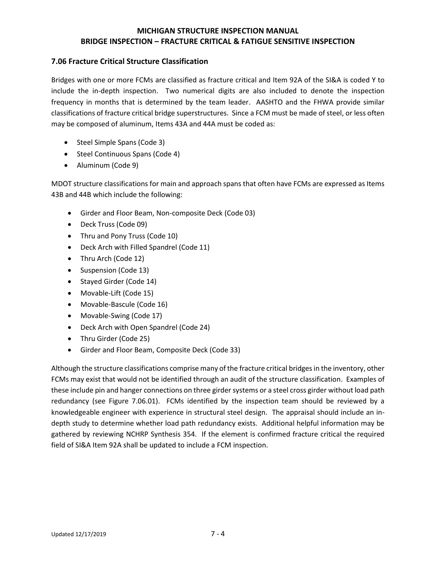### **7.06 Fracture Critical Structure Classification**

Bridges with one or more FCMs are classified as fracture critical and Item 92A of the SI&A is coded Y to include the in-depth inspection. Two numerical digits are also included to denote the inspection frequency in months that is determined by the team leader. AASHTO and the FHWA provide similar classifications of fracture critical bridge superstructures. Since a FCM must be made of steel, or less often may be composed of aluminum, Items 43A and 44A must be coded as:

- Steel Simple Spans (Code 3)
- Steel Continuous Spans (Code 4)
- Aluminum (Code 9)

MDOT structure classifications for main and approach spans that often have FCMs are expressed as Items 43B and 44B which include the following:

- Girder and Floor Beam, Non-composite Deck (Code 03)
- Deck Truss (Code 09)
- Thru and Pony Truss (Code 10)
- Deck Arch with Filled Spandrel (Code 11)
- Thru Arch (Code 12)
- Suspension (Code 13)
- Stayed Girder (Code 14)
- Movable-Lift (Code 15)
- Movable-Bascule (Code 16)
- Movable-Swing (Code 17)
- Deck Arch with Open Spandrel (Code 24)
- Thru Girder (Code 25)
- Girder and Floor Beam, Composite Deck (Code 33)

Although the structure classifications comprise many of the fracture critical bridges in the inventory, other FCMs may exist that would not be identified through an audit of the structure classification. Examples of these include pin and hanger connections on three girder systems or a steel cross girder without load path redundancy (see Figure 7.06.01). FCMs identified by the inspection team should be reviewed by a knowledgeable engineer with experience in structural steel design. The appraisal should include an indepth study to determine whether load path redundancy exists. Additional helpful information may be gathered by reviewing NCHRP Synthesis 354. If the element is confirmed fracture critical the required field of SI&A Item 92A shall be updated to include a FCM inspection.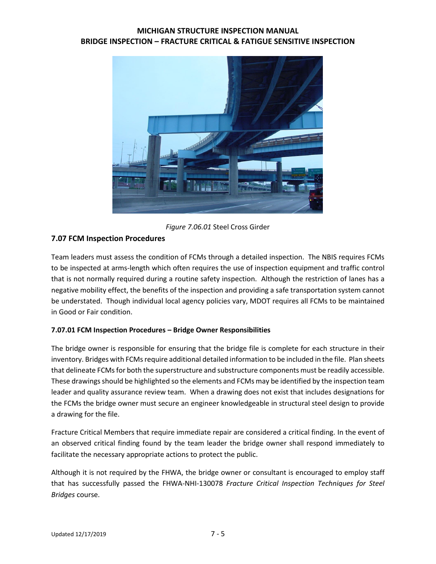

*Figure 7.06.01* Steel Cross Girder

### **7.07 FCM Inspection Procedures**

Team leaders must assess the condition of FCMs through a detailed inspection. The NBIS requires FCMs to be inspected at arms-length which often requires the use of inspection equipment and traffic control that is not normally required during a routine safety inspection. Although the restriction of lanes has a negative mobility effect, the benefits of the inspection and providing a safe transportation system cannot be understated. Though individual local agency policies vary, MDOT requires all FCMs to be maintained in Good or Fair condition.

### **7.07.01 FCM Inspection Procedures – Bridge Owner Responsibilities**

The bridge owner is responsible for ensuring that the bridge file is complete for each structure in their inventory. Bridges with FCMs require additional detailed information to be included in the file. Plan sheets that delineate FCMs for both the superstructure and substructure components must be readily accessible. These drawings should be highlighted so the elements and FCMs may be identified by the inspection team leader and quality assurance review team. When a drawing does not exist that includes designations for the FCMs the bridge owner must secure an engineer knowledgeable in structural steel design to provide a drawing for the file.

Fracture Critical Members that require immediate repair are considered a critical finding. In the event of an observed critical finding found by the team leader the bridge owner shall respond immediately to facilitate the necessary appropriate actions to protect the public.

Although it is not required by the FHWA, the bridge owner or consultant is encouraged to employ staff that has successfully passed the FHWA-NHI-130078 *Fracture Critical Inspection Techniques for Steel Bridges* course.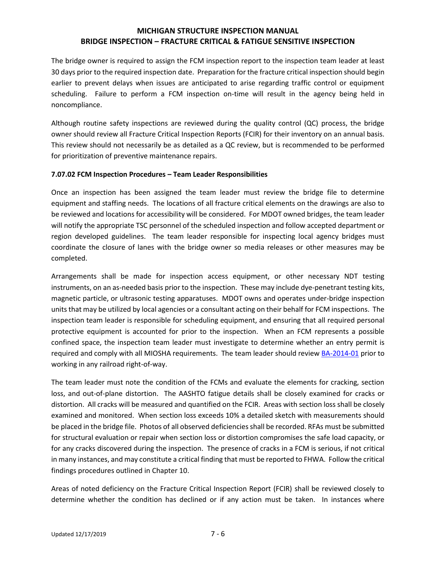The bridge owner is required to assign the FCM inspection report to the inspection team leader at least 30 days prior to the required inspection date. Preparation for the fracture critical inspection should begin earlier to prevent delays when issues are anticipated to arise regarding traffic control or equipment scheduling. Failure to perform a FCM inspection on-time will result in the agency being held in noncompliance.

Although routine safety inspections are reviewed during the quality control (QC) process, the bridge owner should review all Fracture Critical Inspection Reports (FCIR) for their inventory on an annual basis. This review should not necessarily be as detailed as a QC review, but is recommended to be performed for prioritization of preventive maintenance repairs.

#### **7.07.02 FCM Inspection Procedures – Team Leader Responsibilities**

Once an inspection has been assigned the team leader must review the bridge file to determine equipment and staffing needs. The locations of all fracture critical elements on the drawings are also to be reviewed and locations for accessibility will be considered. For MDOT owned bridges, the team leader will notify the appropriate TSC personnel of the scheduled inspection and follow accepted department or region developed guidelines. The team leader responsible for inspecting local agency bridges must coordinate the closure of lanes with the bridge owner so media releases or other measures may be completed.

Arrangements shall be made for inspection access equipment, or other necessary NDT testing instruments, on an as-needed basis prior to the inspection. These may include dye-penetrant testing kits, magnetic particle, or ultrasonic testing apparatuses. MDOT owns and operates under-bridge inspection units that may be utilized by local agencies or a consultant acting on their behalf for FCM inspections. The inspection team leader is responsible for scheduling equipment, and ensuring that all required personal protective equipment is accounted for prior to the inspection. When an FCM represents a possible confined space, the inspection team leader must investigate to determine whether an entry permit is required and comply with all MIOSHA requirements. The team leader should revie[w BA-2014-01](http://www.michigan.gov/mdot/0,1607,7-151-9625_24768_49104---,00.html) prior to working in any railroad right-of-way.

The team leader must note the condition of the FCMs and evaluate the elements for cracking, section loss, and out-of-plane distortion. The AASHTO fatigue details shall be closely examined for cracks or distortion. All cracks will be measured and quantified on the FCIR. Areas with section loss shall be closely examined and monitored. When section loss exceeds 10% a detailed sketch with measurements should be placed in the bridge file. Photos of all observed deficiencies shall be recorded. RFAs must be submitted for structural evaluation or repair when section loss or distortion compromises the safe load capacity, or for any cracks discovered during the inspection. The presence of cracks in a FCM is serious, if not critical in many instances, and may constitute a critical finding that must be reported to FHWA. Follow the critical findings procedures outlined in Chapter 10.

Areas of noted deficiency on the Fracture Critical Inspection Report (FCIR) shall be reviewed closely to determine whether the condition has declined or if any action must be taken. In instances where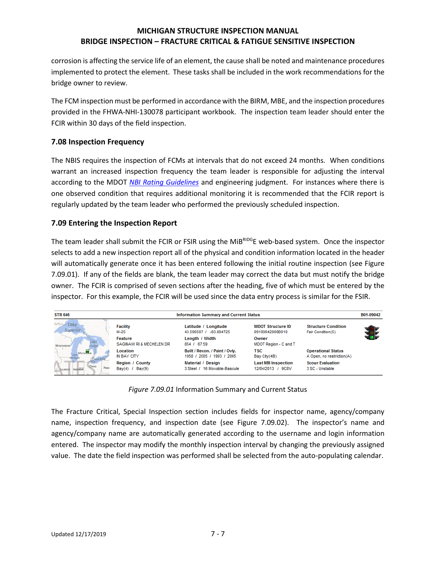corrosion is affecting the service life of an element, the cause shall be noted and maintenance procedures implemented to protect the element. These tasks shall be included in the work recommendations for the bridge owner to review.

The FCM inspection must be performed in accordance with the BIRM, MBE, and the inspection procedures provided in the FHWA-NHI-130078 participant workbook. The inspection team leader should enter the FCIR within 30 days of the field inspection.

### **7.08 Inspection Frequency**

The NBIS requires the inspection of FCMs at intervals that do not exceed 24 months. When conditions warrant an increased inspection frequency the team leader is responsible for adjusting the interval according to the MDOT *[NBI Rating Guidelines](https://www.michigan.gov/documents/mdot/BIR_Ratings_Guide_Combined_2017-10-30_606610_7.pdf)* and engineering judgment. For instances where there is one observed condition that requires additional monitoring it is recommended that the FCIR report is regularly updated by the team leader who performed the previously scheduled inspection.

### **7.09 Entering the Inspection Report**

The team leader shall submit the FCIR or FSIR using the MiBRIDGE web-based system. Once the inspector selects to add a new inspection report all of the physical and condition information located in the header will automatically generate once it has been entered following the initial routine inspection (see Figure 7.09.01). If any of the fields are blank, the team leader may correct the data but must notify the bridge owner. The FCIR is comprised of seven sections after the heading, five of which must be entered by the inspector. For this example, the FCIR will be used since the data entry process is similar for the FSIR.

| <b>STR 646</b>                                   |                                                 | <b>Information Summary and Current Status</b>               |                                                    |                                                        |  |
|--------------------------------------------------|-------------------------------------------------|-------------------------------------------------------------|----------------------------------------------------|--------------------------------------------------------|--|
| Lake<br><b>Superior</b>                          | <b>Facility</b><br>M-25                         | Latitude / Longitude<br>43.596507 / -83.894725              | <b>MDOT Structure ID</b><br>09109042000B010        | <b>Structure Condition</b><br>Fair Condition(5)        |  |
| <b>WISCONSIN</b>                                 | Feature<br>SAGINAW RI & MECHELEN DR             | Length / Width<br>854 / 67.59                               | Owner<br>MDOT Region - C and T                     |                                                        |  |
| MICHIGAN<br>Lake Erie                            | Location<br>IN BAY CITY                         | Built / Recon. / Paint / Ovly.<br>1958 / 2005 / 1993 / 2005 | <b>TSC</b><br>Bay City(4B)                         | <b>Operational Status</b><br>A Open, no restriction(A) |  |
| Оню<br>PENT<br><b>ILLINOIS</b><br><b>INDIANA</b> | <b>Region / County</b><br>Bay $(4)$ / Bay $(9)$ | Material / Design<br>3 Steel / 16 Movable-Bascule           | <b>Last NBI Inspection</b><br>9C8V<br>12/04/2013 / | <b>Scour Evaluation</b><br>3 SC - Unstable             |  |

*Figure 7.09.01* Information Summary and Current Status

The Fracture Critical, Special Inspection section includes fields for inspector name, agency/company name, inspection frequency, and inspection date (see Figure 7.09.02). The inspector's name and agency/company name are automatically generated according to the username and login information entered. The inspector may modify the monthly inspection interval by changing the previously assigned value. The date the field inspection was performed shall be selected from the auto-populating calendar.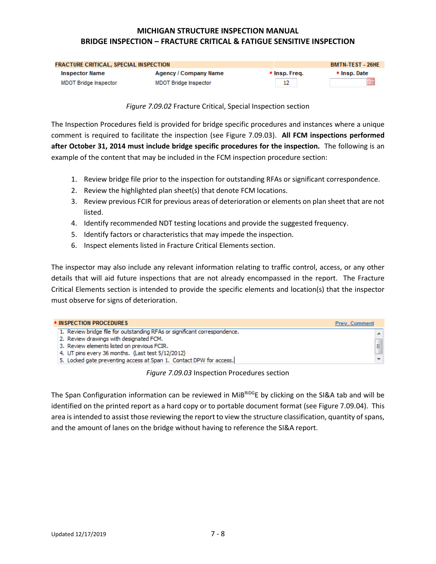| <b>FRACTURE CRITICAL, SPECIAL INSPECTION</b> |                              |               | <b>BMTN-TEST - 26HE</b> |
|----------------------------------------------|------------------------------|---------------|-------------------------|
| <b>Inspector Name</b>                        | <b>Agency / Company Name</b> | * Insp. Freq. | ★ Insp. Date            |
| MDOT Bridge Inspector                        | <b>MDOT Bridge Inspector</b> | 12            | ▦                       |

*Figure 7.09.02* Fracture Critical, Special Inspection section

The Inspection Procedures field is provided for bridge specific procedures and instances where a unique comment is required to facilitate the inspection (see Figure 7.09.03). **All FCM inspections performed after October 31, 2014 must include bridge specific procedures for the inspection.** The following is an example of the content that may be included in the FCM inspection procedure section:

- 1. Review bridge file prior to the inspection for outstanding RFAs or significant correspondence.
- 2. Review the highlighted plan sheet(s) that denote FCM locations.
- 3. Review previous FCIR for previous areas of deterioration or elements on plan sheet that are not listed.
- 4. Identify recommended NDT testing locations and provide the suggested frequency.
- 5. Identify factors or characteristics that may impede the inspection.
- 6. Inspect elements listed in Fracture Critical Elements section.

The inspector may also include any relevant information relating to traffic control, access, or any other details that will aid future inspections that are not already encompassed in the report. The Fracture Critical Elements section is intended to provide the specific elements and location(s) that the inspector must observe for signs of deterioration.

| * INSPECTION PROCEDURES<br><b>Prev. Comment</b>                           |    |
|---------------------------------------------------------------------------|----|
| 1. Review bridge file for outstanding RFAs or significant correspondence. |    |
| 2. Review drawings with designated FCM.                                   |    |
| 3. Review elements listed on previous FCIR.                               | E  |
| 4. UT pins every 36 months. (Last test 5/12/2012)                         |    |
| 5. Locked gate preventing access at Span 1. Contact DPW for access.       | v. |

#### *Figure 7.09.03* Inspection Procedures section

The Span Configuration information can be reviewed in  $MiB<sup>RDO</sup>E$  by clicking on the SI&A tab and will be identified on the printed report as a hard copy or to portable document format (see Figure 7.09.04). This area is intended to assist those reviewing the report to view the structure classification, quantity of spans, and the amount of lanes on the bridge without having to reference the SI&A report.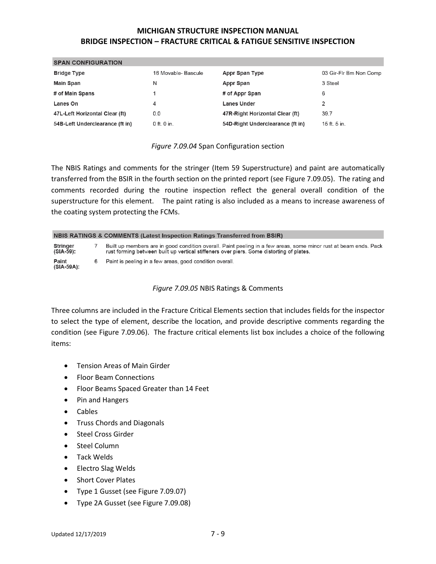| <b>SPAN CONFIGURATION</b>       |                     |                                  |                        |
|---------------------------------|---------------------|----------------------------------|------------------------|
| <b>Bridge Type</b>              | 16 Movable- Bascule | <b>Appr Span Type</b>            | 03 Gir-Flr Bm Non Comp |
| <b>Main Span</b>                | N                   | Appr Span                        | 3 Steel                |
| # of Main Spans                 |                     | # of Appr Span                   | 6                      |
| Lanes On                        | 4                   | <b>Lanes Under</b>               |                        |
| 47L-Left Horizontal Clear (ft)  | 0.0                 | 47R-Right Horizontal Clear (ft)  | 39.7                   |
| 54B-Left Underclearance (ft in) | 0 ft. 0 in.         | 54D-Right Underclearance (ft in) | 15 ft. 5 in.           |

#### *Figure 7.09.04* Span Configuration section

The NBIS Ratings and comments for the stringer (Item 59 Superstructure) and paint are automatically transferred from the BSIR in the fourth section on the printed report (see Figure 7.09.05). The rating and comments recorded during the routine inspection reflect the general overall condition of the superstructure for this element. The paint rating is also included as a means to increase awareness of the coating system protecting the FCMs.

#### **NBIS RATINGS & COMMENTS (Latest Inspection Ratings Transferred from BSIR)**

| Stringer<br>(SIA-59): | Built up members are in good condition overall. Paint peeling in a few areas, some minor rust at beam ends. Pack<br>rust forming between built up vertical stiffeners over piers. Some distorting of plates. |
|-----------------------|--------------------------------------------------------------------------------------------------------------------------------------------------------------------------------------------------------------|
| Paint<br>(SIA-59A):   | 6 Paint is peeling in a few areas, good condition overall.                                                                                                                                                   |

#### *Figure 7.09.05* NBIS Ratings & Comments

Three columns are included in the Fracture Critical Elements section that includes fields for the inspector to select the type of element, describe the location, and provide descriptive comments regarding the condition (see Figure 7.09.06). The fracture critical elements list box includes a choice of the following items:

- Tension Areas of Main Girder
- Floor Beam Connections
- Floor Beams Spaced Greater than 14 Feet
- Pin and Hangers
- Cables
- Truss Chords and Diagonals
- Steel Cross Girder
- Steel Column
- Tack Welds
- Electro Slag Welds
- Short Cover Plates
- Type 1 Gusset (see Figure 7.09.07)
- Type 2A Gusset (see Figure 7.09.08)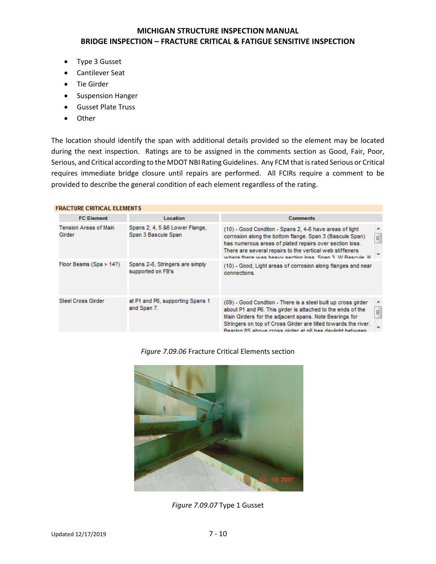- Type 3 Gusset
- Cantilever Seat
- Tie Girder
- Suspension Hanger
- Gusset Plate Truss
- Other

The location should identify the span with additional details provided so the element may be located during the next inspection. Ratings are to be assigned in the comments section as Good, Fair, Poor, Serious, and Critical according to the MDOT NBI Rating Guidelines. Any FCM that israted Serious or Critical requires immediate bridge closure until repairs are performed. All FCIRs require a comment to be provided to describe the general condition of each element regardless of the rating.

| <b>FRACTURE CRITICAL ELEMENTS</b> |                                                       |                                                                                                                                                                                                                                                                                                                                       |  |  |  |
|-----------------------------------|-------------------------------------------------------|---------------------------------------------------------------------------------------------------------------------------------------------------------------------------------------------------------------------------------------------------------------------------------------------------------------------------------------|--|--|--|
| <b>FC Element</b>                 | <b>Location</b>                                       | <b>Comments</b>                                                                                                                                                                                                                                                                                                                       |  |  |  |
| Tension Areas of Main<br>Girder   | Spans 2, 4, 5 &6 Lower Flange,<br>Span 3 Bascule Span | (10) - Good Conditon - Spans 2, 4-6 have areas of light<br>티<br>corrosion along the bottom flange. Span 3 (Bascule Span)<br>has numerous areas of plated repairs over section loss.<br>There are several repairs to the vertical web stiffeners<br>where there was heavy section loss. Snan 3, W Bascule, N                           |  |  |  |
| Floor Beams (Spa > 14?)           | Spans 2-6, Stringers are simply<br>supported on FB's  | (10) - Good, Light areas of corrosion along flanges and near<br>connections.                                                                                                                                                                                                                                                          |  |  |  |
| <b>Steel Cross Girder</b>         | at P1 and P6, supporting Spans 1<br>and Span 7.       | (09) - Good Condtion - There is a steel built up cross girder<br>▲<br>$\equiv$<br>about P1 and P6. This girder is attached to the ends of the<br>Main Girders for the adjacent spans. Note Bearings for<br>Stringers on top of Cross Girder are tilted towards the river.<br>Bearing 8S shove cross girder at n6 has daylight between |  |  |  |

*Figure 7.09.06* Fracture Critical Elements section



*Figure 7.09.07* Type 1 Gusset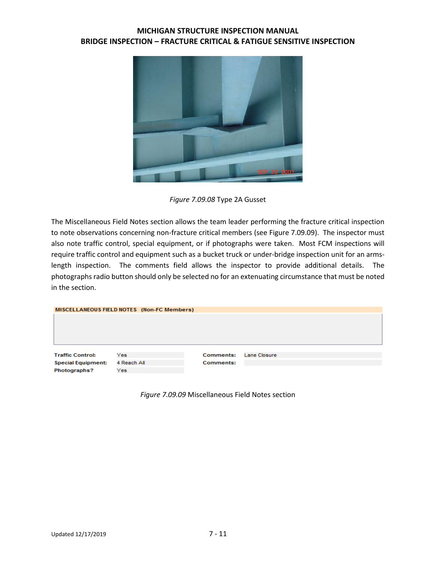

*Figure 7.09.08* Type 2A Gusset

The Miscellaneous Field Notes section allows the team leader performing the fracture critical inspection to note observations concerning non-fracture critical members (see Figure 7.09.09). The inspector must also note traffic control, special equipment, or if photographs were taken. Most FCM inspections will require traffic control and equipment such as a bucket truck or under-bridge inspection unit for an armslength inspection. The comments field allows the inspector to provide additional details. The photographs radio button should only be selected no for an extenuating circumstance that must be noted in the section.

|                           | MISCELLANEOUS FIELD NOTES (Non-FC Members) |                  |              |  |
|---------------------------|--------------------------------------------|------------------|--------------|--|
|                           |                                            |                  |              |  |
| <b>Traffic Control:</b>   | Yes                                        | <b>Comments:</b> | Lane Closure |  |
| <b>Special Equipment:</b> | 4 Reach All                                | <b>Comments:</b> |              |  |
| Photographs?              | Yes.                                       |                  |              |  |

*Figure 7.09.09* Miscellaneous Field Notes section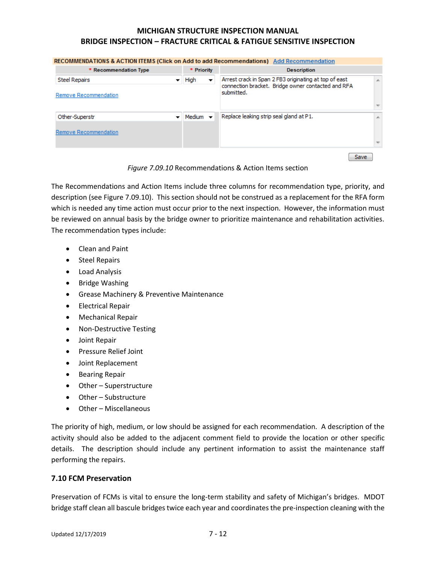| RECOMMENDATIONS & ACTION ITEMS (Click on Add to add Recommendations) Add Recommendation |                      |                                                                                                                                                 |                                         |   |  |
|-----------------------------------------------------------------------------------------|----------------------|-------------------------------------------------------------------------------------------------------------------------------------------------|-----------------------------------------|---|--|
| * Recommendation Type                                                                   |                      | * Priority                                                                                                                                      | <b>Description</b>                      |   |  |
| <b>Steel Repairs</b>                                                                    |                      | Arrest crack in Span 2 FB3 originating at top of east<br>High<br>$\overline{\phantom{a}}$<br>connection bracket. Bridge owner contacted and RFA |                                         |   |  |
| Remove Recommendation                                                                   |                      |                                                                                                                                                 | submitted.                              |   |  |
| Other-Superstr                                                                          | Medium $\rightarrow$ |                                                                                                                                                 | Replace leaking strip seal gland at P1. |   |  |
|                                                                                         |                      |                                                                                                                                                 |                                         | 业 |  |
| Remove Recommendation                                                                   |                      |                                                                                                                                                 |                                         |   |  |
|                                                                                         |                      |                                                                                                                                                 | Save                                    |   |  |

*Figure 7.09.10* Recommendations & Action Items section

The Recommendations and Action Items include three columns for recommendation type, priority, and description (see Figure 7.09.10). This section should not be construed as a replacement for the RFA form which is needed any time action must occur prior to the next inspection. However, the information must be reviewed on annual basis by the bridge owner to prioritize maintenance and rehabilitation activities. The recommendation types include:

- Clean and Paint
- Steel Repairs
- Load Analysis
- Bridge Washing
- Grease Machinery & Preventive Maintenance
- Electrical Repair
- Mechanical Repair
- Non-Destructive Testing
- Joint Repair
- Pressure Relief Joint
- Joint Replacement
- Bearing Repair
- Other Superstructure
- Other Substructure
- Other Miscellaneous

The priority of high, medium, or low should be assigned for each recommendation. A description of the activity should also be added to the adjacent comment field to provide the location or other specific details. The description should include any pertinent information to assist the maintenance staff performing the repairs.

#### **7.10 FCM Preservation**

Preservation of FCMs is vital to ensure the long-term stability and safety of Michigan's bridges. MDOT bridge staff clean all bascule bridges twice each year and coordinates the pre-inspection cleaning with the